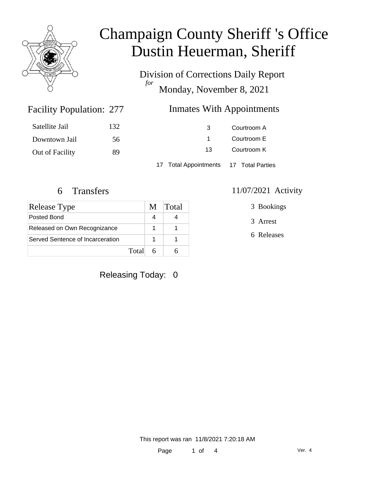

Division of Corrections Daily Report *for* Monday, November 8, 2021

### Facility Population: 277

#### Inmates With Appointments

| Satellite Jail  | 132 | 3                                      | Courtroom A |
|-----------------|-----|----------------------------------------|-------------|
| Downtown Jail   | 56  |                                        | Courtroom E |
| Out of Facility | 89  | 13                                     | Courtroom K |
|                 |     | 17 Total Appointments 17 Total Parties |             |

| Release Type                     | M | Total |
|----------------------------------|---|-------|
| Posted Bond                      |   |       |
| Released on Own Recognizance     |   |       |
| Served Sentence of Incarceration |   |       |
| Total                            |   |       |

### Releasing Today: 0

#### 6 Transfers 11/07/2021 Activity

3 Bookings

- 3 Arrest
- 6 Releases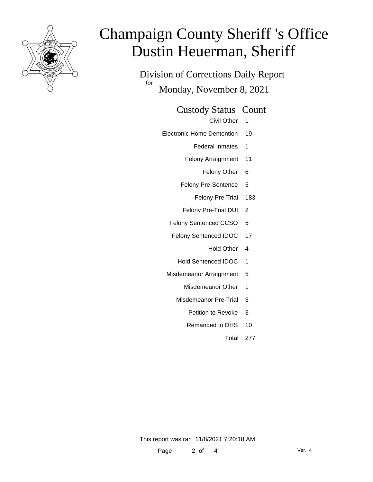

Division of Corrections Daily Report *for* Monday, November 8, 2021

Custody Status Count

Civil Other 1

Electronic Home Dentention 19

Federal Inmates 1

- Felony Arraignment 11
	- Felony Other 6
- Felony Pre-Sentence 5
	- Felony Pre-Trial 183
- Felony Pre-Trial DUI 2
- Felony Sentenced CCSO 5
- Felony Sentenced IDOC 17
	- Hold Other 4
	- Hold Sentenced IDOC 1
- Misdemeanor Arraignment 5
	- Misdemeanor Other 1
	- Misdemeanor Pre-Trial 3
		- Petition to Revoke 3
		- Remanded to DHS 10
			- Total 277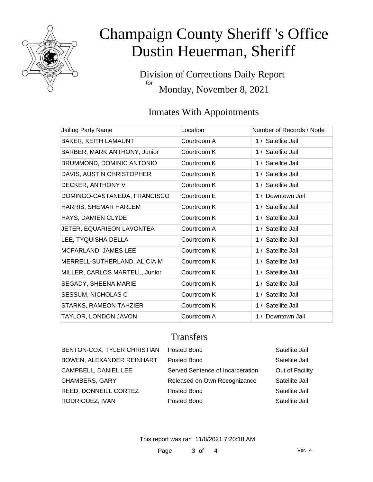

Division of Corrections Daily Report *for* Monday, November 8, 2021

### Inmates With Appointments

| Jailing Party Name             | Location    | Number of Records / Node |
|--------------------------------|-------------|--------------------------|
| BAKER, KEITH LAMAUNT           | Courtroom A | 1 / Satellite Jail       |
| BARBER, MARK ANTHONY, Junior   | Courtroom K | 1 / Satellite Jail       |
| BRUMMOND, DOMINIC ANTONIO      | Courtroom K | 1 / Satellite Jail       |
| DAVIS, AUSTIN CHRISTOPHER      | Courtroom K | 1 / Satellite Jail       |
| DECKER, ANTHONY V              | Courtroom K | 1 / Satellite Jail       |
| DOMINGO-CASTANEDA, FRANCISCO   | Courtroom E | 1 / Downtown Jail        |
| HARRIS, SHEMAR HARLEM          | Courtroom K | 1 / Satellite Jail       |
| HAYS, DAMIEN CLYDE             | Courtroom K | 1 / Satellite Jail       |
| JETER, EQUARIEON LAVONTEA      | Courtroom A | 1 / Satellite Jail       |
| LEE, TYQUISHA DELLA            | Courtroom K | 1 / Satellite Jail       |
| MCFARLAND, JAMES LEE           | Courtroom K | 1 / Satellite Jail       |
| MERRELL-SUTHERLAND, ALICIA M   | Courtroom K | 1 / Satellite Jail       |
| MILLER, CARLOS MARTELL, Junior | Courtroom K | 1 / Satellite Jail       |
| SEGADY, SHEENA MARIE           | Courtroom K | 1 / Satellite Jail       |
| SESSUM, NICHOLAS C             | Courtroom K | 1 / Satellite Jail       |
| STARKS, RAMEON TAHZIER         | Courtroom K | 1 / Satellite Jail       |
| TAYLOR, LONDON JAVON           | Courtroom A | 1 / Downtown Jail        |

### **Transfers**

| BENTON-COX, TYLER CHRISTIAN | Posted Bond                      | Satellite Jail  |
|-----------------------------|----------------------------------|-----------------|
| BOWEN, ALEXANDER REINHART   | Posted Bond                      | Satellite Jail  |
| CAMPBELL, DANIEL LEE        | Served Sentence of Incarceration | Out of Facility |
| CHAMBERS, GARY              | Released on Own Recognizance     | Satellite Jail  |
| REED, DONNEILL CORTEZ       | Posted Bond                      | Satellite Jail  |
| RODRIGUEZ, IVAN             | Posted Bond                      | Satellite Jail  |